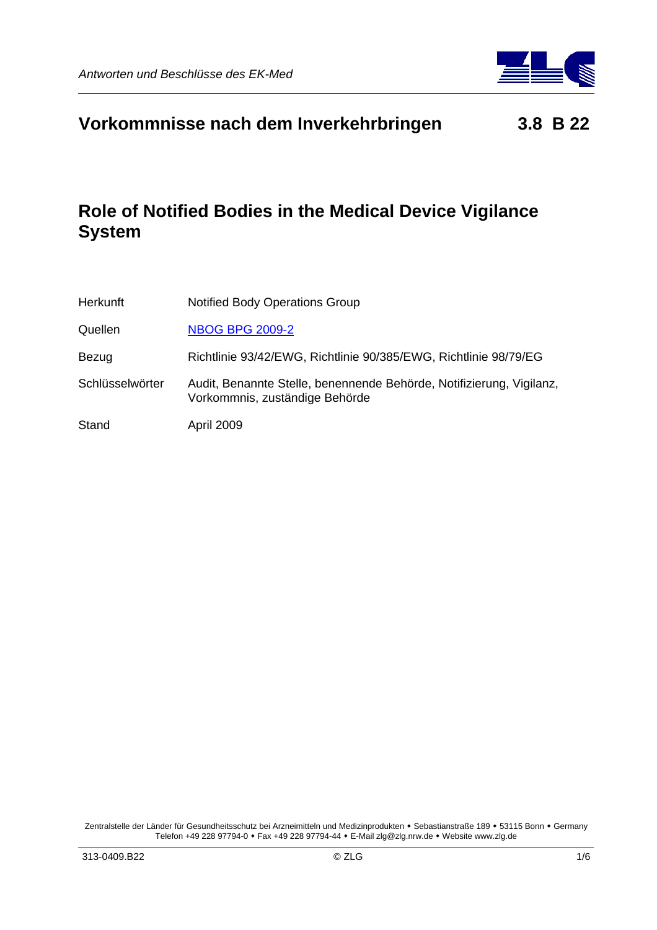

# **Vorkommnisse nach dem Inverkehrbringen 3.8 B 22**

# **Role of Notified Bodies in the Medical Device Vigilance System**

| <b>Herkunft</b> | <b>Notified Body Operations Group</b>                                                                  |
|-----------------|--------------------------------------------------------------------------------------------------------|
| Quellen         | <b>NBOG BPG 2009-2</b>                                                                                 |
| Bezug           | Richtlinie 93/42/EWG, Richtlinie 90/385/EWG, Richtlinie 98/79/EG                                       |
| Schlüsselwörter | Audit, Benannte Stelle, benennende Behörde, Notifizierung, Vigilanz,<br>Vorkommnis, zuständige Behörde |
| Stand           | April 2009                                                                                             |

Zentralstelle der Länder für Gesundheitsschutz bei Arzneimitteln und Medizinprodukten • Sebastianstraße 189 • 53115 Bonn • Germany Telefon +49 228 97794-0 Fax +49 228 97794-44 E-Mail zlg@zlg.nrw.de Website www.zlg.de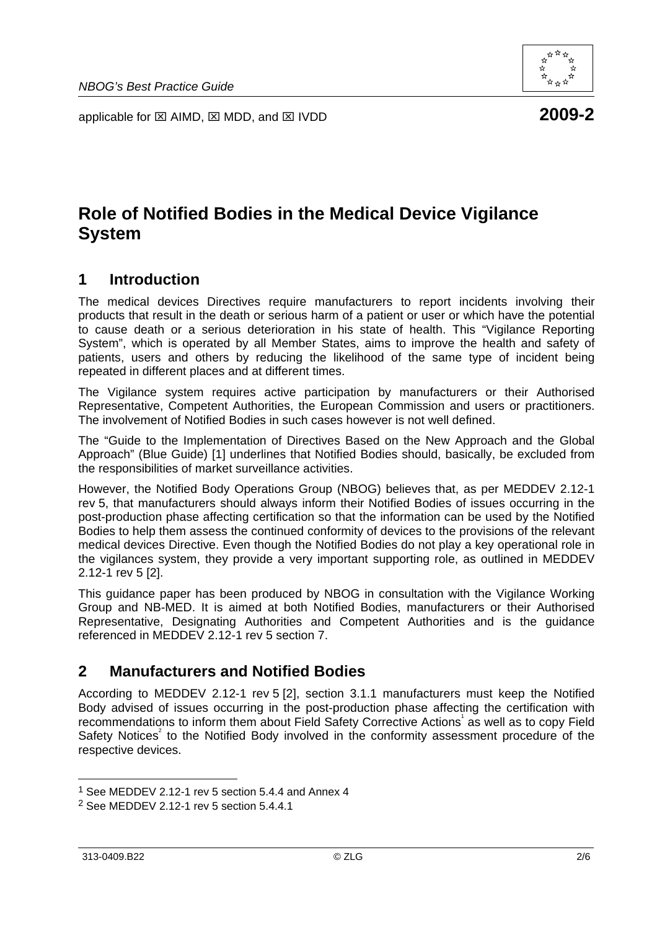applicable for ⊠ AIMD, ⊠ MDD, and ⊠ IVDD **2009-2** 

# **Role of Notified Bodies in the Medical Device Vigilance System**

## **1 Introduction**

The medical devices Directives require manufacturers to report incidents involving their products that result in the death or serious harm of a patient or user or which have the potential to cause death or a serious deterioration in his state of health. This "Vigilance Reporting System", which is operated by all Member States, aims to improve the health and safety of patients, users and others by reducing the likelihood of the same type of incident being repeated in different places and at different times.

The Vigilance system requires active participation by manufacturers or their Authorised Representative, Competent Authorities, the European Commission and users or practitioners. The involvement of Notified Bodies in such cases however is not well defined.

The "Guide to the Implementation of Directives Based on the New Approach and the Global Approach" (Blue Guide) [1] underlines that Notified Bodies should, basically, be excluded from the responsibilities of market surveillance activities.

However, the Notified Body Operations Group (NBOG) believes that, as per MEDDEV 2.12-1 rev 5, that manufacturers should always inform their Notified Bodies of issues occurring in the post-production phase affecting certification so that the information can be used by the Notified Bodies to help them assess the continued conformity of devices to the provisions of the relevant medical devices Directive. Even though the Notified Bodies do not play a key operational role in the vigilances system, they provide a very important supporting role, as outlined in MEDDEV 2.12-1 rev 5 [2].

This guidance paper has been produced by NBOG in consultation with the Vigilance Working Group and NB-MED. It is aimed at both Notified Bodies, manufacturers or their Authorised Representative, Designating Authorities and Competent Authorities and is the guidance referenced in MEDDEV 2.12-1 rev 5 section 7.

## **2 Manufacturers and Notified Bodies**

According to MEDDEV 2.12-1 rev 5 [2], section 3.1.1 manufacturers must keep the Notified Body advised of issues occurring in the post-production phase affecting the certification with recommendations to inform them about Field Safety Corrective Actions<sup>1</sup> as well as to copy Field Safety Notices<sup>2</sup> to the Notified Body involved in the conformity assessment procedure of the respective devices.



<sup>1</sup> See MEDDEV 2.12-1 rev 5 section 5.4.4 and Annex 4

<sup>2</sup> See MEDDEV 2.12-1 rev 5 section 5.4.4.1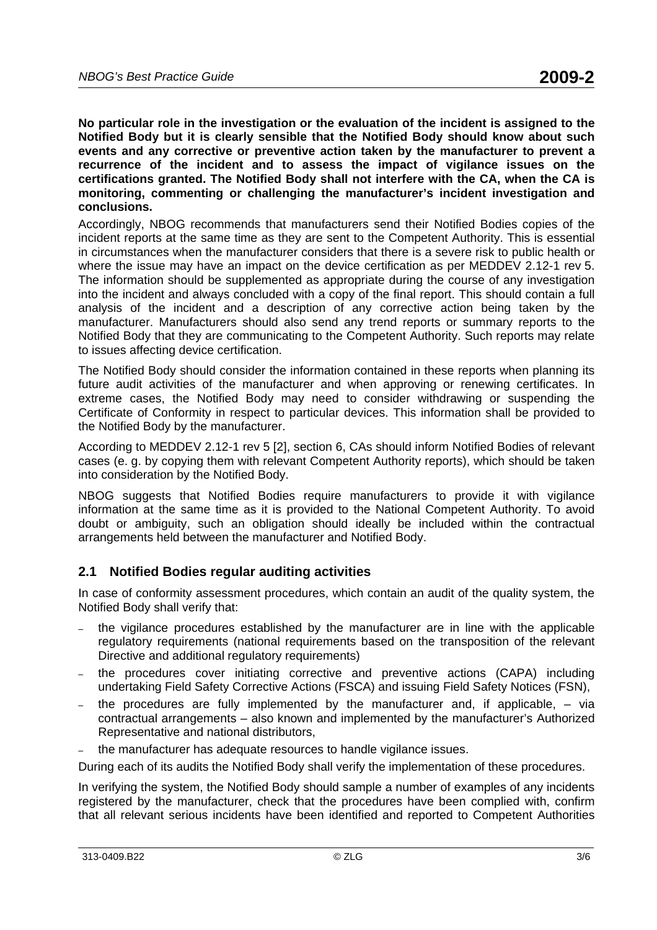**No particular role in the investigation or the evaluation of the incident is assigned to the Notified Body but it is clearly sensible that the Notified Body should know about such events and any corrective or preventive action taken by the manufacturer to prevent a recurrence of the incident and to assess the impact of vigilance issues on the certifications granted. The Notified Body shall not interfere with the CA, when the CA is monitoring, commenting or challenging the manufacturer's incident investigation and conclusions.** 

Accordingly, NBOG recommends that manufacturers send their Notified Bodies copies of the incident reports at the same time as they are sent to the Competent Authority. This is essential in circumstances when the manufacturer considers that there is a severe risk to public health or where the issue may have an impact on the device certification as per MEDDEV 2.12-1 rev 5. The information should be supplemented as appropriate during the course of any investigation into the incident and always concluded with a copy of the final report. This should contain a full analysis of the incident and a description of any corrective action being taken by the manufacturer. Manufacturers should also send any trend reports or summary reports to the Notified Body that they are communicating to the Competent Authority. Such reports may relate to issues affecting device certification.

The Notified Body should consider the information contained in these reports when planning its future audit activities of the manufacturer and when approving or renewing certificates. In extreme cases, the Notified Body may need to consider withdrawing or suspending the Certificate of Conformity in respect to particular devices. This information shall be provided to the Notified Body by the manufacturer.

According to MEDDEV 2.12-1 rev 5 [2], section 6, CAs should inform Notified Bodies of relevant cases (e. g. by copying them with relevant Competent Authority reports), which should be taken into consideration by the Notified Body.

NBOG suggests that Notified Bodies require manufacturers to provide it with vigilance information at the same time as it is provided to the National Competent Authority. To avoid doubt or ambiguity, such an obligation should ideally be included within the contractual arrangements held between the manufacturer and Notified Body.

### **2.1 Notified Bodies regular auditing activities**

In case of conformity assessment procedures, which contain an audit of the quality system, the Notified Body shall verify that:

- the vigilance procedures established by the manufacturer are in line with the applicable regulatory requirements (national requirements based on the transposition of the relevant Directive and additional regulatory requirements)
- the procedures cover initiating corrective and preventive actions (CAPA) including undertaking Field Safety Corrective Actions (FSCA) and issuing Field Safety Notices (FSN),
- the procedures are fully implemented by the manufacturer and, if applicable,  $-$  via contractual arrangements – also known and implemented by the manufacturer's Authorized Representative and national distributors,
- the manufacturer has adequate resources to handle vigilance issues.

During each of its audits the Notified Body shall verify the implementation of these procedures.

In verifying the system, the Notified Body should sample a number of examples of any incidents registered by the manufacturer, check that the procedures have been complied with, confirm that all relevant serious incidents have been identified and reported to Competent Authorities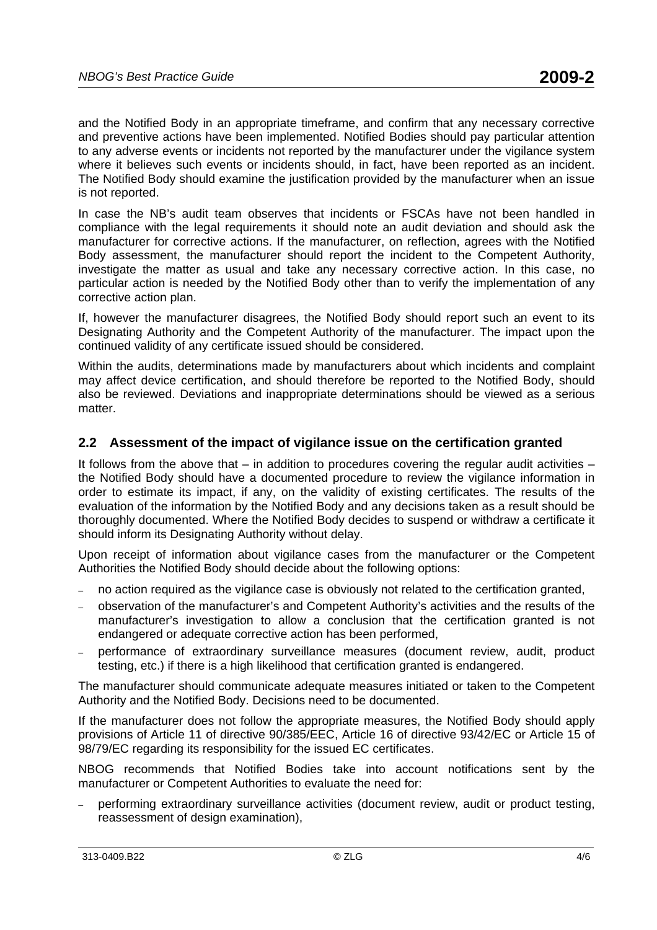and the Notified Body in an appropriate timeframe, and confirm that any necessary corrective and preventive actions have been implemented. Notified Bodies should pay particular attention to any adverse events or incidents not reported by the manufacturer under the vigilance system where it believes such events or incidents should, in fact, have been reported as an incident. The Notified Body should examine the justification provided by the manufacturer when an issue is not reported.

In case the NB's audit team observes that incidents or FSCAs have not been handled in compliance with the legal requirements it should note an audit deviation and should ask the manufacturer for corrective actions. If the manufacturer, on reflection, agrees with the Notified Body assessment, the manufacturer should report the incident to the Competent Authority, investigate the matter as usual and take any necessary corrective action. In this case, no particular action is needed by the Notified Body other than to verify the implementation of any corrective action plan.

If, however the manufacturer disagrees, the Notified Body should report such an event to its Designating Authority and the Competent Authority of the manufacturer. The impact upon the continued validity of any certificate issued should be considered.

Within the audits, determinations made by manufacturers about which incidents and complaint may affect device certification, and should therefore be reported to the Notified Body, should also be reviewed. Deviations and inappropriate determinations should be viewed as a serious matter.

### **2.2 Assessment of the impact of vigilance issue on the certification granted**

It follows from the above that – in addition to procedures covering the regular audit activities – the Notified Body should have a documented procedure to review the vigilance information in order to estimate its impact, if any, on the validity of existing certificates. The results of the evaluation of the information by the Notified Body and any decisions taken as a result should be thoroughly documented. Where the Notified Body decides to suspend or withdraw a certificate it should inform its Designating Authority without delay.

Upon receipt of information about vigilance cases from the manufacturer or the Competent Authorities the Notified Body should decide about the following options:

- no action required as the vigilance case is obviously not related to the certification granted,
- observation of the manufacturer's and Competent Authority's activities and the results of the manufacturer's investigation to allow a conclusion that the certification granted is not endangered or adequate corrective action has been performed,
- performance of extraordinary surveillance measures (document review, audit, product testing, etc.) if there is a high likelihood that certification granted is endangered.

The manufacturer should communicate adequate measures initiated or taken to the Competent Authority and the Notified Body. Decisions need to be documented.

If the manufacturer does not follow the appropriate measures, the Notified Body should apply provisions of Article 11 of directive 90/385/EEC, Article 16 of directive 93/42/EC or Article 15 of 98/79/EC regarding its responsibility for the issued EC certificates.

NBOG recommends that Notified Bodies take into account notifications sent by the manufacturer or Competent Authorities to evaluate the need for:

– performing extraordinary surveillance activities (document review, audit or product testing, reassessment of design examination),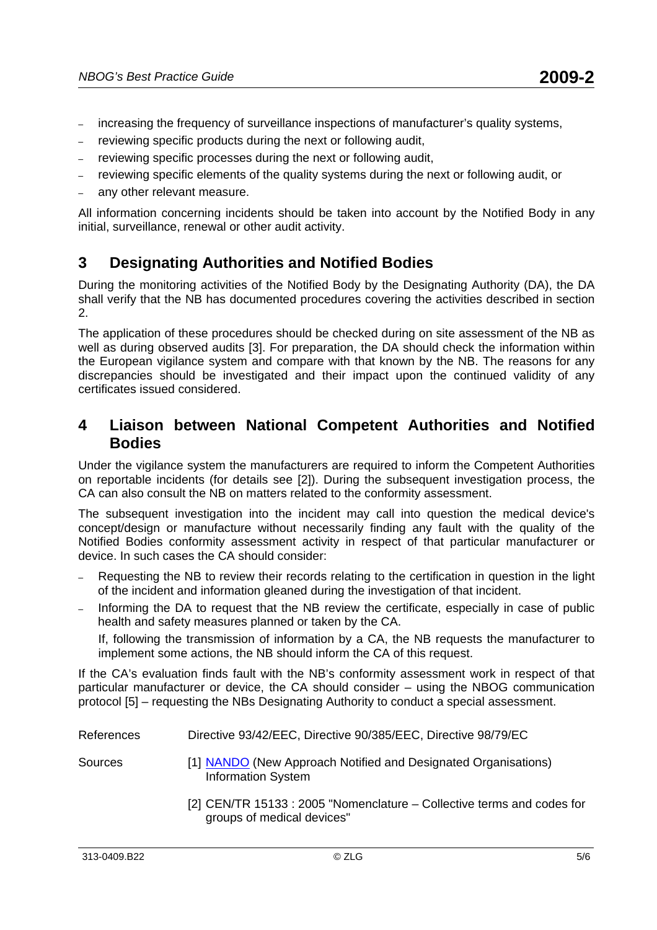- increasing the frequency of surveillance inspections of manufacturer's quality systems,
- reviewing specific products during the next or following audit,
- reviewing specific processes during the next or following audit,
- reviewing specific elements of the quality systems during the next or following audit, or
- any other relevant measure.

All information concerning incidents should be taken into account by the Notified Body in any initial, surveillance, renewal or other audit activity.

## **3 Designating Authorities and Notified Bodies**

During the monitoring activities of the Notified Body by the Designating Authority (DA), the DA shall verify that the NB has documented procedures covering the activities described in section 2.

The application of these procedures should be checked during on site assessment of the NB as well as during observed audits [3]. For preparation, the DA should check the information within the European vigilance system and compare with that known by the NB. The reasons for any discrepancies should be investigated and their impact upon the continued validity of any certificates issued considered.

### **4 Liaison between National Competent Authorities and Notified Bodies**

Under the vigilance system the manufacturers are required to inform the Competent Authorities on reportable incidents (for details see [2]). During the subsequent investigation process, the CA can also consult the NB on matters related to the conformity assessment.

The subsequent investigation into the incident may call into question the medical device's concept/design or manufacture without necessarily finding any fault with the quality of the Notified Bodies conformity assessment activity in respect of that particular manufacturer or device. In such cases the CA should consider:

- Requesting the NB to review their records relating to the certification in question in the light of the incident and information gleaned during the investigation of that incident.
- Informing the DA to request that the NB review the certificate, especially in case of public health and safety measures planned or taken by the CA.

If, following the transmission of information by a CA, the NB requests the manufacturer to implement some actions, the NB should inform the CA of this request.

If the CA's evaluation finds fault with the NB's conformity assessment work in respect of that particular manufacturer or device, the CA should consider – using the NBOG communication protocol [5] – requesting the NBs Designating Authority to conduct a special assessment.

| References | Directive 93/42/EEC, Directive 90/385/EEC, Directive 98/79/EC                                        |
|------------|------------------------------------------------------------------------------------------------------|
| Sources    | [1] NANDO (New Approach Notified and Designated Organisations)<br><b>Information System</b>          |
|            | [2] CEN/TR 15133 : 2005 "Nomenclature – Collective terms and codes for<br>groups of medical devices" |